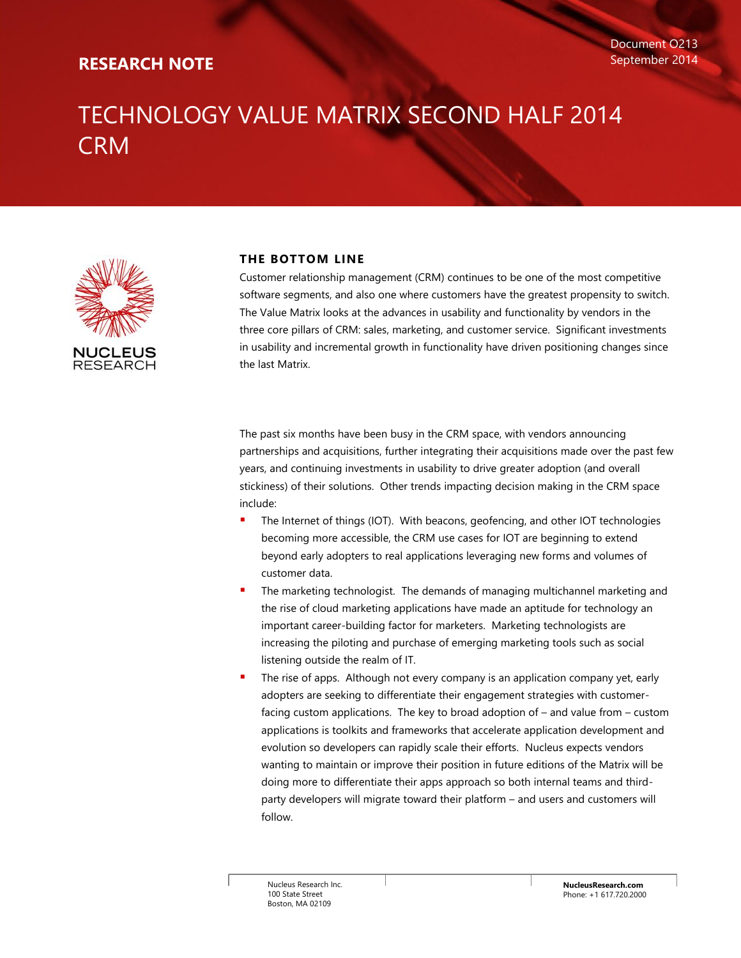## **RESEARCH NOTE**

# TECHNOLOGY VALUE MATRIX SECOND HALF 2014 **CRM**



## **THE BOTTOM LINE**

Customer relationship management (CRM) continues to be one of the most competitive software segments, and also one where customers have the greatest propensity to switch. The Value Matrix looks at the advances in usability and functionality by vendors in the three core pillars of CRM: sales, marketing, and customer service. Significant investments in usability and incremental growth in functionality have driven positioning changes since the last Matrix.

The past six months have been busy in the CRM space, with vendors announcing partnerships and acquisitions, further integrating their acquisitions made over the past few years, and continuing investments in usability to drive greater adoption (and overall stickiness) of their solutions. Other trends impacting decision making in the CRM space include:

- The Internet of things (IOT). With beacons, geofencing, and other IOT technologies becoming more accessible, the CRM use cases for IOT are beginning to extend beyond early adopters to real applications leveraging new forms and volumes of customer data.
- The marketing technologist. The demands of managing multichannel marketing and the rise of cloud marketing applications have made an aptitude for technology an important career-building factor for marketers. Marketing technologists are increasing the piloting and purchase of emerging marketing tools such as social listening outside the realm of IT.
- The rise of apps. Although not every company is an application company yet, early adopters are seeking to differentiate their engagement strategies with customerfacing custom applications. The key to broad adoption of – and value from – custom applications is toolkits and frameworks that accelerate application development and evolution so developers can rapidly scale their efforts. Nucleus expects vendors wanting to maintain or improve their position in future editions of the Matrix will be doing more to differentiate their apps approach so both internal teams and thirdparty developers will migrate toward their platform – and users and customers will follow.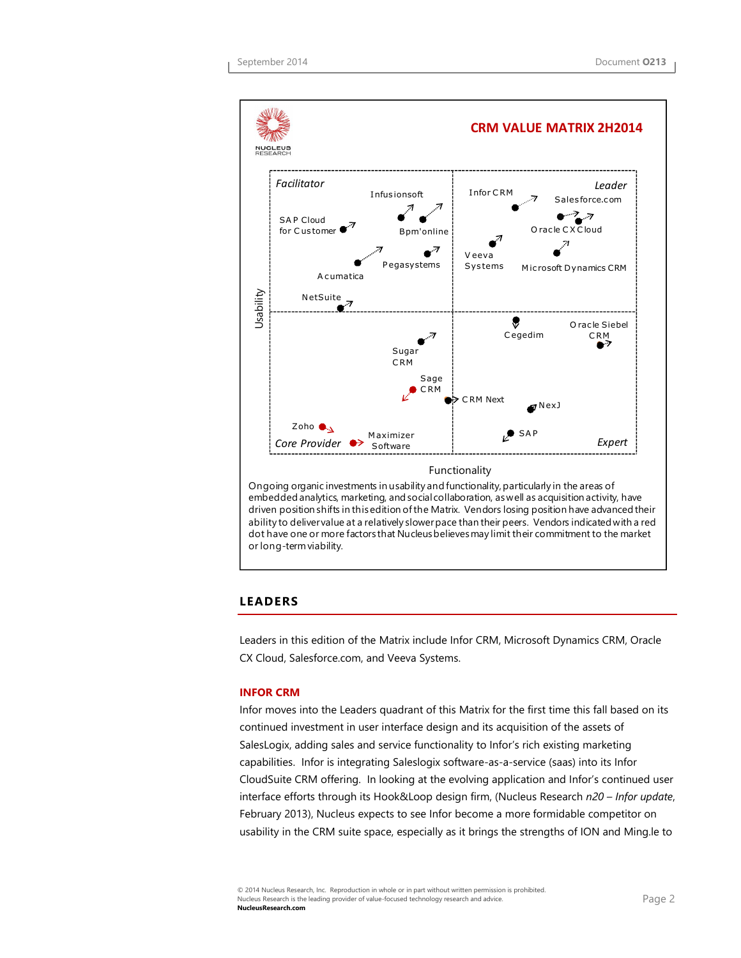

ability to deliver value at a relatively slower pace than their peers. Vendors indicated with a red dot have one or more factors that Nucleus believes may limit their commitment to the market or long-term viability.

## **LEADERS**

Leaders in this edition of the Matrix include Infor CRM, Microsoft Dynamics CRM, Oracle CX Cloud, Salesforce.com, and Veeva Systems.

## **INFOR CRM**

Infor moves into the Leaders quadrant of this Matrix for the first time this fall based on its continued investment in user interface design and its acquisition of the assets of SalesLogix, adding sales and service functionality to Infor's rich existing marketing capabilities. Infor is integrating Saleslogix software-as-a-service (saas) into its Infor CloudSuite CRM offering. In looking at the evolving application and Infor's continued user interface efforts through its Hook&Loop design firm, (Nucleus Research *n20 – Infor update*, February 2013), Nucleus expects to see Infor become a more formidable competitor on usability in the CRM suite space, especially as it brings the strengths of ION and Ming.le to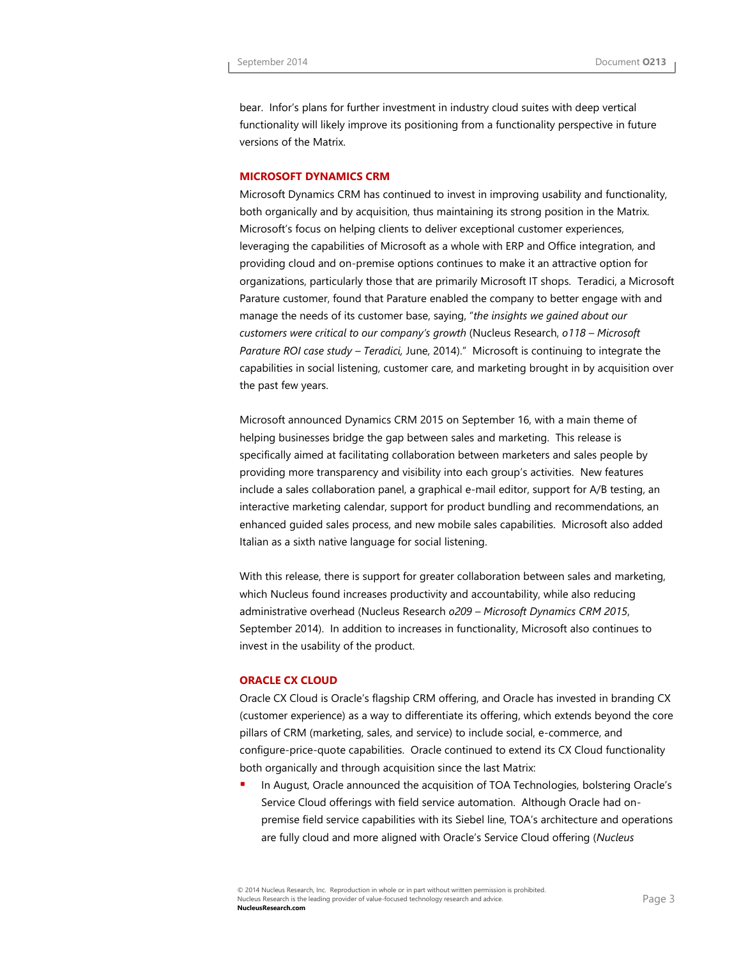bear. Infor's plans for further investment in industry cloud suites with deep vertical functionality will likely improve its positioning from a functionality perspective in future versions of the Matrix.

## **MICROSOFT DYNAMICS CRM**

Microsoft Dynamics CRM has continued to invest in improving usability and functionality, both organically and by acquisition, thus maintaining its strong position in the Matrix. Microsoft's focus on helping clients to deliver exceptional customer experiences, leveraging the capabilities of Microsoft as a whole with ERP and Office integration, and providing cloud and on-premise options continues to make it an attractive option for organizations, particularly those that are primarily Microsoft IT shops. Teradici, a Microsoft Parature customer, found that Parature enabled the company to better engage with and manage the needs of its customer base, saying, "*the insights we gained about our customers were critical to our company's growth* (Nucleus Research, *o118 – Microsoft Parature ROI case study – Teradici,* June, 2014)." Microsoft is continuing to integrate the capabilities in social listening, customer care, and marketing brought in by acquisition over the past few years.

Microsoft announced Dynamics CRM 2015 on September 16, with a main theme of helping businesses bridge the gap between sales and marketing. This release is specifically aimed at facilitating collaboration between marketers and sales people by providing more transparency and visibility into each group's activities. New features include a sales collaboration panel, a graphical e-mail editor, support for A/B testing, an interactive marketing calendar, support for product bundling and recommendations, an enhanced guided sales process, and new mobile sales capabilities. Microsoft also added Italian as a sixth native language for social listening.

With this release, there is support for greater collaboration between sales and marketing, which Nucleus found increases productivity and accountability, while also reducing administrative overhead (Nucleus Research *o209 – Microsoft Dynamics CRM 2015*, September 2014). In addition to increases in functionality, Microsoft also continues to invest in the usability of the product.

## **ORACLE CX CLOUD**

Oracle CX Cloud is Oracle's flagship CRM offering, and Oracle has invested in branding CX (customer experience) as a way to differentiate its offering, which extends beyond the core pillars of CRM (marketing, sales, and service) to include social, e-commerce, and configure-price-quote capabilities. Oracle continued to extend its CX Cloud functionality both organically and through acquisition since the last Matrix:

 In August, Oracle announced the acquisition of TOA Technologies, bolstering Oracle's Service Cloud offerings with field service automation. Although Oracle had onpremise field service capabilities with its Siebel line, TOA's architecture and operations are fully cloud and more aligned with Oracle's Service Cloud offering (*Nucleus*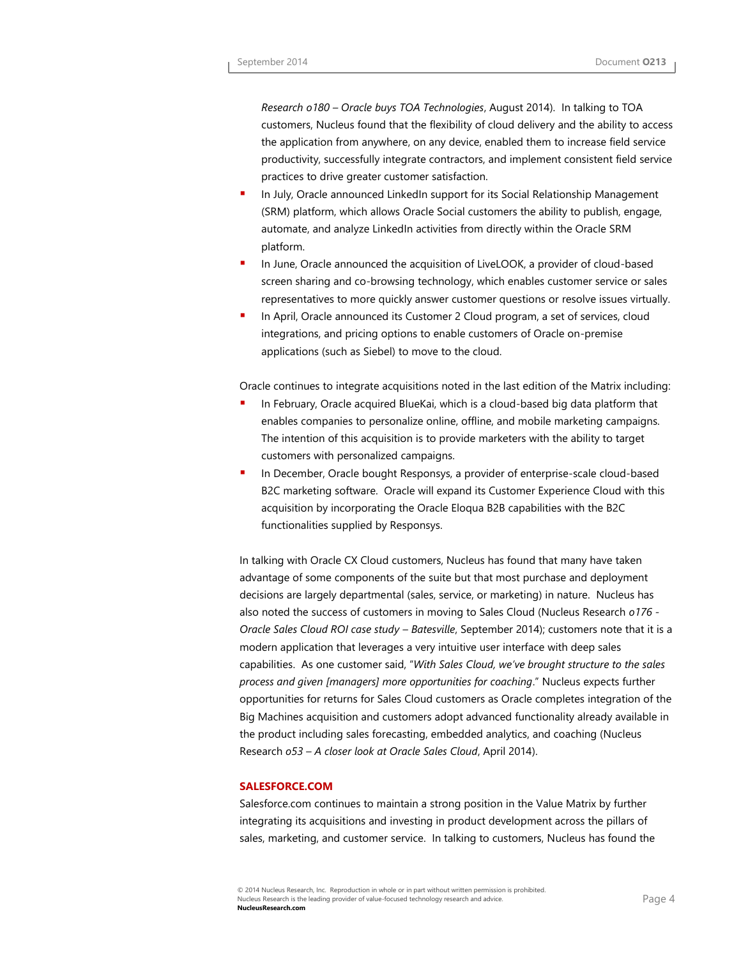*Research o180 – Oracle buys TOA Technologies*, August 2014). In talking to TOA customers, Nucleus found that the flexibility of cloud delivery and the ability to access the application from anywhere, on any device, enabled them to increase field service productivity, successfully integrate contractors, and implement consistent field service practices to drive greater customer satisfaction.

- In July, Oracle announced LinkedIn support for its Social Relationship Management (SRM) platform, which allows Oracle Social customers the ability to publish, engage, automate, and analyze LinkedIn activities from directly within the Oracle SRM platform.
- In June, Oracle announced the acquisition of LiveLOOK, a provider of cloud-based screen sharing and co-browsing technology, which enables customer service or sales representatives to more quickly answer customer questions or resolve issues virtually.
- **In April, Oracle announced its Customer 2 Cloud program, a set of services, cloud** integrations, and pricing options to enable customers of Oracle on-premise applications (such as Siebel) to move to the cloud.

Oracle continues to integrate acquisitions noted in the last edition of the Matrix including:

- In February, Oracle acquired BlueKai, which is a cloud-based big data platform that enables companies to personalize online, offline, and mobile marketing campaigns. The intention of this acquisition is to provide marketers with the ability to target customers with personalized campaigns.
- In December, Oracle bought Responsys, a provider of enterprise-scale cloud-based B2C marketing software. Oracle will expand its Customer Experience Cloud with this acquisition by incorporating the Oracle Eloqua B2B capabilities with the B2C functionalities supplied by Responsys.

In talking with Oracle CX Cloud customers, Nucleus has found that many have taken advantage of some components of the suite but that most purchase and deployment decisions are largely departmental (sales, service, or marketing) in nature. Nucleus has also noted the success of customers in moving to Sales Cloud (Nucleus Research *o176 - Oracle Sales Cloud ROI case study – Batesville*, September 2014); customers note that it is a modern application that leverages a very intuitive user interface with deep sales capabilities. As one customer said, "*With Sales Cloud, we've brought structure to the sales process and given [managers] more opportunities for coaching*." Nucleus expects further opportunities for returns for Sales Cloud customers as Oracle completes integration of the Big Machines acquisition and customers adopt advanced functionality already available in the product including sales forecasting, embedded analytics, and coaching (Nucleus Research *o53 – A closer look at Oracle Sales Cloud*, April 2014).

## **SALESFORCE.COM**

Salesforce.com continues to maintain a strong position in the Value Matrix by further integrating its acquisitions and investing in product development across the pillars of sales, marketing, and customer service. In talking to customers, Nucleus has found the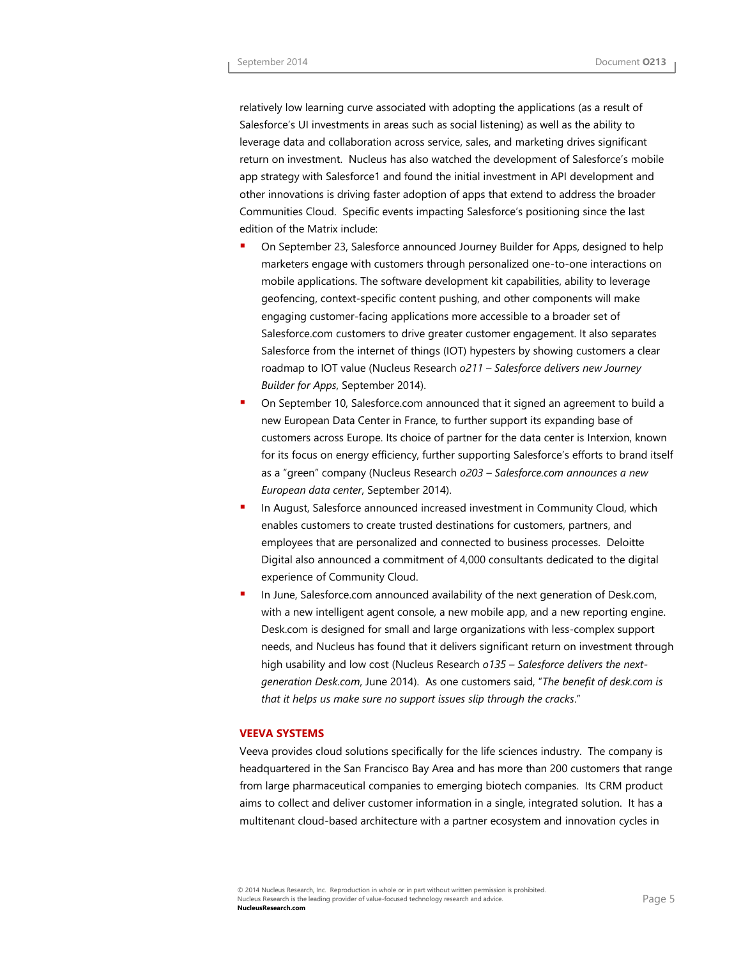relatively low learning curve associated with adopting the applications (as a result of Salesforce's UI investments in areas such as social listening) as well as the ability to leverage data and collaboration across service, sales, and marketing drives significant return on investment. Nucleus has also watched the development of Salesforce's mobile app strategy with Salesforce1 and found the initial investment in API development and other innovations is driving faster adoption of apps that extend to address the broader Communities Cloud. Specific events impacting Salesforce's positioning since the last edition of the Matrix include:

- On September 23, Salesforce announced Journey Builder for Apps, designed to help marketers engage with customers through personalized one-to-one interactions on mobile applications. The software development kit capabilities, ability to leverage geofencing, context-specific content pushing, and other components will make engaging customer-facing applications more accessible to a broader set of Salesforce.com customers to drive greater customer engagement. It also separates Salesforce from the internet of things (IOT) hypesters by showing customers a clear roadmap to IOT value (Nucleus Research *o211 – Salesforce delivers new Journey Builder for Apps*, September 2014).
- On September 10, Salesforce.com announced that it signed an agreement to build a new European Data Center in France, to further support its expanding base of customers across Europe. Its choice of partner for the data center is Interxion, known for its focus on energy efficiency, further supporting Salesforce's efforts to brand itself as a "green" company (Nucleus Research *o203 – Salesforce.com announces a new European data center*, September 2014).
- In August, Salesforce announced increased investment in Community Cloud, which enables customers to create trusted destinations for customers, partners, and employees that are personalized and connected to business processes. Deloitte Digital also announced a commitment of 4,000 consultants dedicated to the digital experience of Community Cloud.
- In June, Salesforce.com announced availability of the next generation of Desk.com, with a new intelligent agent console, a new mobile app, and a new reporting engine. Desk.com is designed for small and large organizations with less-complex support needs, and Nucleus has found that it delivers significant return on investment through high usability and low cost (Nucleus Research *o135 – Salesforce delivers the nextgeneration Desk.com*, June 2014). As one customers said, "*The benefit of desk.com is that it helps us make sure no support issues slip through the cracks*."

#### **VEEVA SYSTEMS**

Veeva provides cloud solutions specifically for the life sciences industry. The company is headquartered in the San Francisco Bay Area and has more than 200 customers that range from large pharmaceutical companies to emerging biotech companies. Its CRM product aims to collect and deliver customer information in a single, integrated solution. It has a multitenant cloud-based architecture with a partner ecosystem and innovation cycles in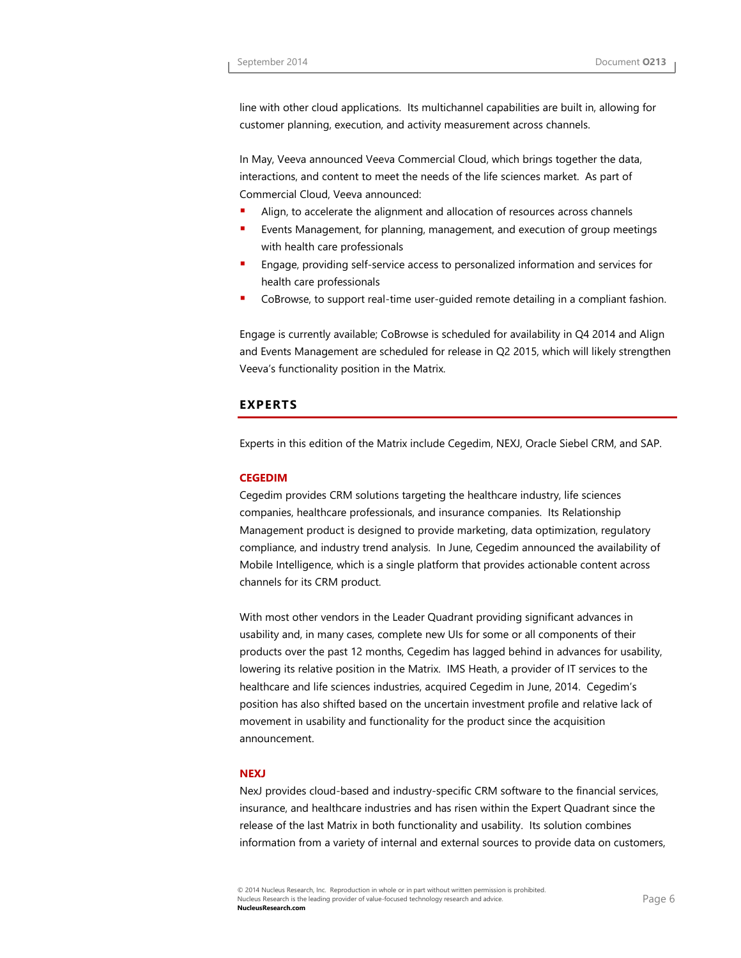line with other cloud applications. Its multichannel capabilities are built in, allowing for customer planning, execution, and activity measurement across channels.

In May, Veeva announced Veeva Commercial Cloud, which brings together the data, interactions, and content to meet the needs of the life sciences market. As part of Commercial Cloud, Veeva announced:

- Align, to accelerate the alignment and allocation of resources across channels
- Events Management, for planning, management, and execution of group meetings with health care professionals
- Engage, providing self-service access to personalized information and services for health care professionals
- CoBrowse, to support real-time user-guided remote detailing in a compliant fashion.

Engage is currently available; CoBrowse is scheduled for availability in Q4 2014 and Align and Events Management are scheduled for release in Q2 2015, which will likely strengthen Veeva's functionality position in the Matrix.

## **EXPERTS**

Experts in this edition of the Matrix include Cegedim, NEXJ, Oracle Siebel CRM, and SAP.

## **CEGEDIM**

Cegedim provides CRM solutions targeting the healthcare industry, life sciences companies, healthcare professionals, and insurance companies. Its Relationship Management product is designed to provide marketing, data optimization, regulatory compliance, and industry trend analysis. In June, Cegedim announced the availability of Mobile Intelligence, which is a single platform that provides actionable content across channels for its CRM product.

With most other vendors in the Leader Quadrant providing significant advances in usability and, in many cases, complete new UIs for some or all components of their products over the past 12 months, Cegedim has lagged behind in advances for usability, lowering its relative position in the Matrix. IMS Heath, a provider of IT services to the healthcare and life sciences industries, acquired Cegedim in June, 2014. Cegedim's position has also shifted based on the uncertain investment profile and relative lack of movement in usability and functionality for the product since the acquisition announcement.

## **NEXJ**

NexJ provides cloud-based and industry-specific CRM software to the financial services, insurance, and healthcare industries and has risen within the Expert Quadrant since the release of the last Matrix in both functionality and usability. Its solution combines information from a variety of internal and external sources to provide data on customers,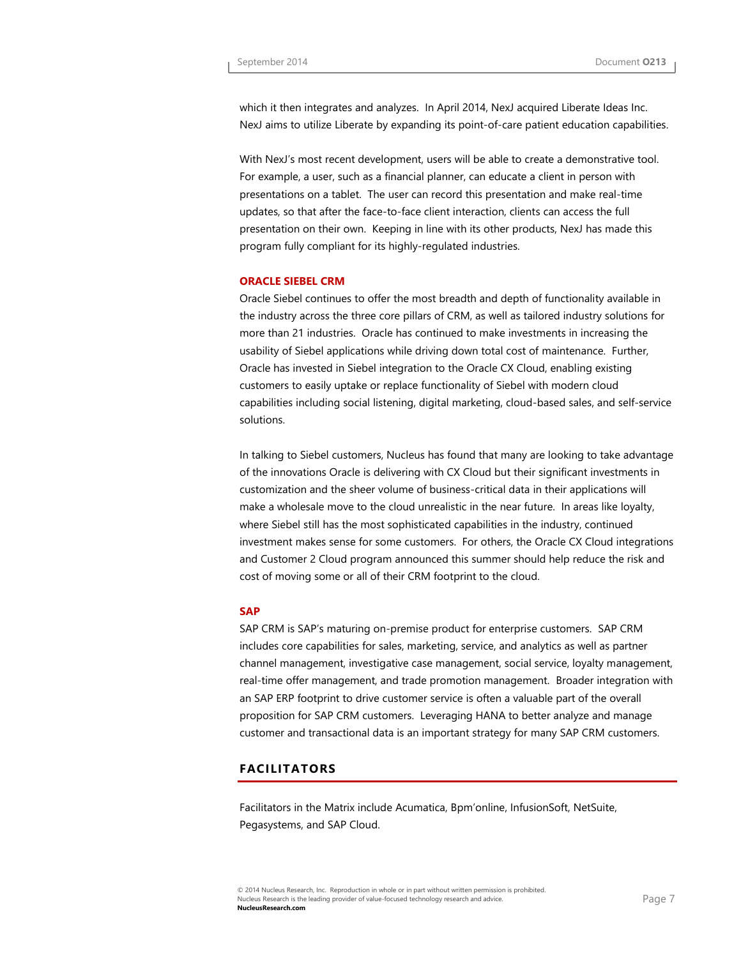which it then integrates and analyzes. In April 2014, NexJ acquired Liberate Ideas Inc. NexJ aims to utilize Liberate by expanding its point-of-care patient education capabilities.

With NexJ's most recent development, users will be able to create a demonstrative tool. For example, a user, such as a financial planner, can educate a client in person with presentations on a tablet. The user can record this presentation and make real-time updates, so that after the face-to-face client interaction, clients can access the full presentation on their own. Keeping in line with its other products, NexJ has made this program fully compliant for its highly-regulated industries.

#### **ORACLE SIEBEL CRM**

Oracle Siebel continues to offer the most breadth and depth of functionality available in the industry across the three core pillars of CRM, as well as tailored industry solutions for more than 21 industries. Oracle has continued to make investments in increasing the usability of Siebel applications while driving down total cost of maintenance. Further, Oracle has invested in Siebel integration to the Oracle CX Cloud, enabling existing customers to easily uptake or replace functionality of Siebel with modern cloud capabilities including social listening, digital marketing, cloud-based sales, and self-service solutions.

In talking to Siebel customers, Nucleus has found that many are looking to take advantage of the innovations Oracle is delivering with CX Cloud but their significant investments in customization and the sheer volume of business-critical data in their applications will make a wholesale move to the cloud unrealistic in the near future. In areas like loyalty, where Siebel still has the most sophisticated capabilities in the industry, continued investment makes sense for some customers. For others, the Oracle CX Cloud integrations and Customer 2 Cloud program announced this summer should help reduce the risk and cost of moving some or all of their CRM footprint to the cloud.

## **SAP**

SAP CRM is SAP's maturing on-premise product for enterprise customers. SAP CRM includes core capabilities for sales, marketing, service, and analytics as well as partner channel management, investigative case management, social service, loyalty management, real-time offer management, and trade promotion management. Broader integration with an SAP ERP footprint to drive customer service is often a valuable part of the overall proposition for SAP CRM customers. Leveraging HANA to better analyze and manage customer and transactional data is an important strategy for many SAP CRM customers.

## **FACILITATORS**

Facilitators in the Matrix include Acumatica, Bpm'online, InfusionSoft, NetSuite, Pegasystems, and SAP Cloud.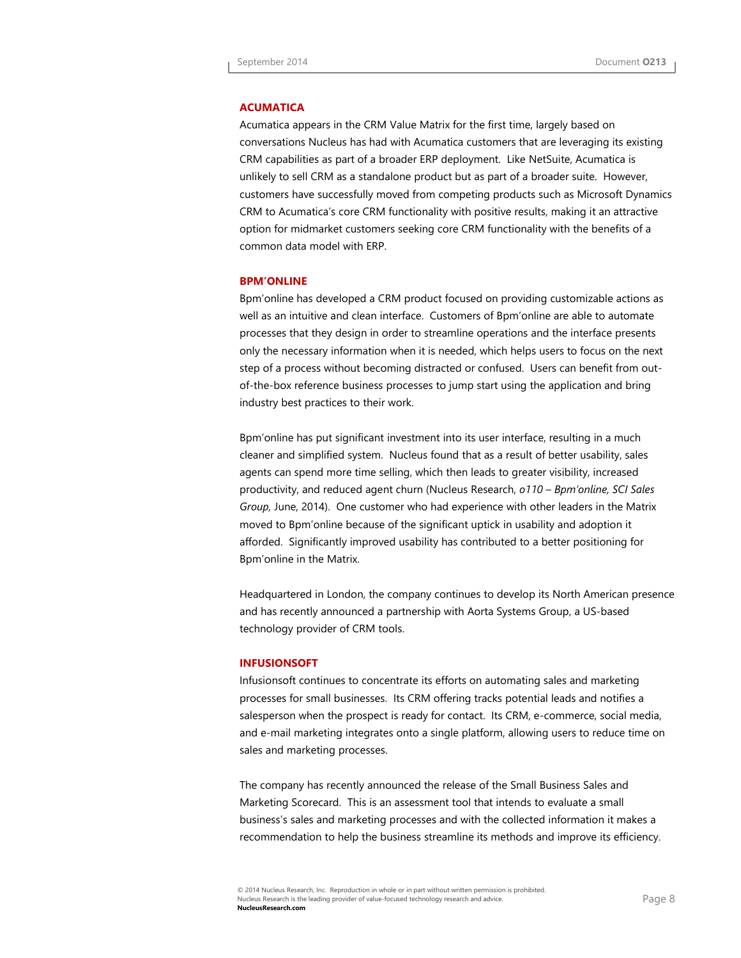## **ACUMATICA**

Acumatica appears in the CRM Value Matrix for the first time, largely based on conversations Nucleus has had with Acumatica customers that are leveraging its existing CRM capabilities as part of a broader ERP deployment. Like NetSuite, Acumatica is unlikely to sell CRM as a standalone product but as part of a broader suite. However, customers have successfully moved from competing products such as Microsoft Dynamics CRM to Acumatica's core CRM functionality with positive results, making it an attractive option for midmarket customers seeking core CRM functionality with the benefits of a common data model with ERP.

#### **BPM'ONLINE**

Bpm'online has developed a CRM product focused on providing customizable actions as well as an intuitive and clean interface. Customers of Bpm'online are able to automate processes that they design in order to streamline operations and the interface presents only the necessary information when it is needed, which helps users to focus on the next step of a process without becoming distracted or confused. Users can benefit from outof-the-box reference business processes to jump start using the application and bring industry best practices to their work.

Bpm'online has put significant investment into its user interface, resulting in a much cleaner and simplified system. Nucleus found that as a result of better usability, sales agents can spend more time selling, which then leads to greater visibility, increased productivity, and reduced agent churn (Nucleus Research, *o110 – Bpm'online, SCI Sales Group,* June, 2014). One customer who had experience with other leaders in the Matrix moved to Bpm'online because of the significant uptick in usability and adoption it afforded. Significantly improved usability has contributed to a better positioning for Bpm'online in the Matrix.

Headquartered in London, the company continues to develop its North American presence and has recently announced a partnership with Aorta Systems Group, a US-based technology provider of CRM tools.

#### **INFUSIONSOFT**

Infusionsoft continues to concentrate its efforts on automating sales and marketing processes for small businesses. Its CRM offering tracks potential leads and notifies a salesperson when the prospect is ready for contact. Its CRM, e-commerce, social media, and e-mail marketing integrates onto a single platform, allowing users to reduce time on sales and marketing processes.

The company has recently announced the release of the Small Business Sales and Marketing Scorecard. This is an assessment tool that intends to evaluate a small business's sales and marketing processes and with the collected information it makes a recommendation to help the business streamline its methods and improve its efficiency.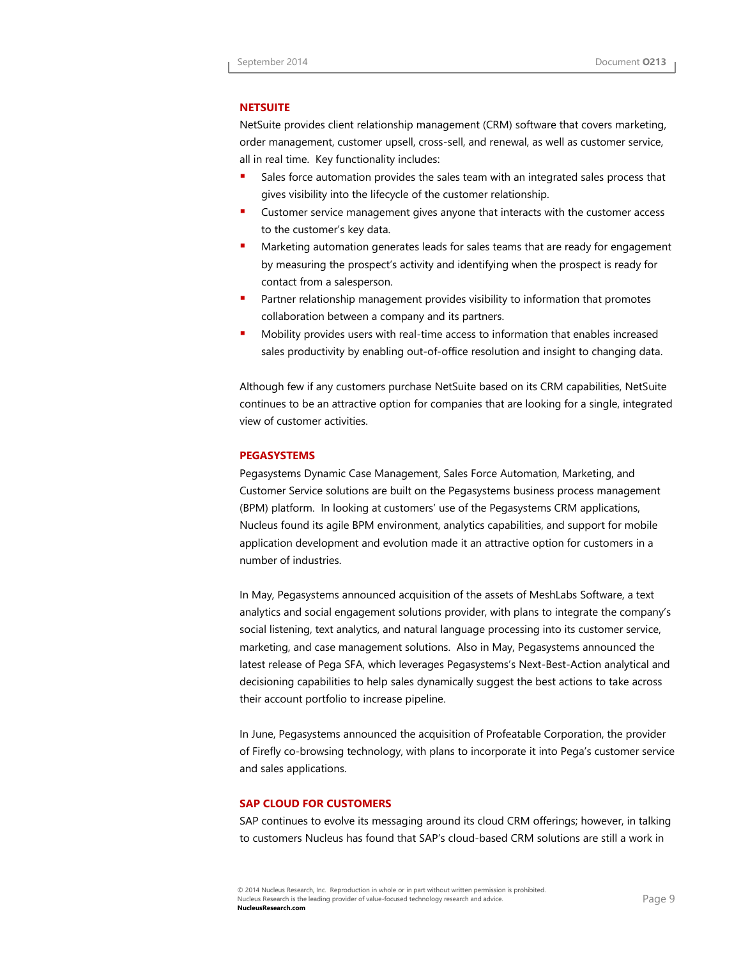## **NETSUITE**

NetSuite provides client relationship management (CRM) software that covers marketing, order management, customer upsell, cross-sell, and renewal, as well as customer service, all in real time. Key functionality includes:

- Sales force automation provides the sales team with an integrated sales process that gives visibility into the lifecycle of the customer relationship.
- Customer service management gives anyone that interacts with the customer access to the customer's key data.
- Marketing automation generates leads for sales teams that are ready for engagement by measuring the prospect's activity and identifying when the prospect is ready for contact from a salesperson.
- Partner relationship management provides visibility to information that promotes collaboration between a company and its partners.
- Mobility provides users with real-time access to information that enables increased sales productivity by enabling out-of-office resolution and insight to changing data.

Although few if any customers purchase NetSuite based on its CRM capabilities, NetSuite continues to be an attractive option for companies that are looking for a single, integrated view of customer activities.

## **PEGASYSTEMS**

Pegasystems Dynamic Case Management, Sales Force Automation, Marketing, and Customer Service solutions are built on the Pegasystems business process management (BPM) platform. In looking at customers' use of the Pegasystems CRM applications, Nucleus found its agile BPM environment, analytics capabilities, and support for mobile application development and evolution made it an attractive option for customers in a number of industries.

In May, Pegasystems announced acquisition of the assets of MeshLabs Software, a text analytics and social engagement solutions provider, with plans to integrate the company's social listening, text analytics, and natural language processing into its customer service, marketing, and case management solutions. Also in May, Pegasystems announced the latest release of Pega SFA, which leverages Pegasystems's Next-Best-Action analytical and decisioning capabilities to help sales dynamically suggest the best actions to take across their account portfolio to increase pipeline.

In June, Pegasystems announced the acquisition of Profeatable Corporation, the provider of Firefly co-browsing technology, with plans to incorporate it into Pega's customer service and sales applications.

## **SAP CLOUD FOR CUSTOMERS**

SAP continues to evolve its messaging around its cloud CRM offerings; however, in talking to customers Nucleus has found that SAP's cloud-based CRM solutions are still a work in